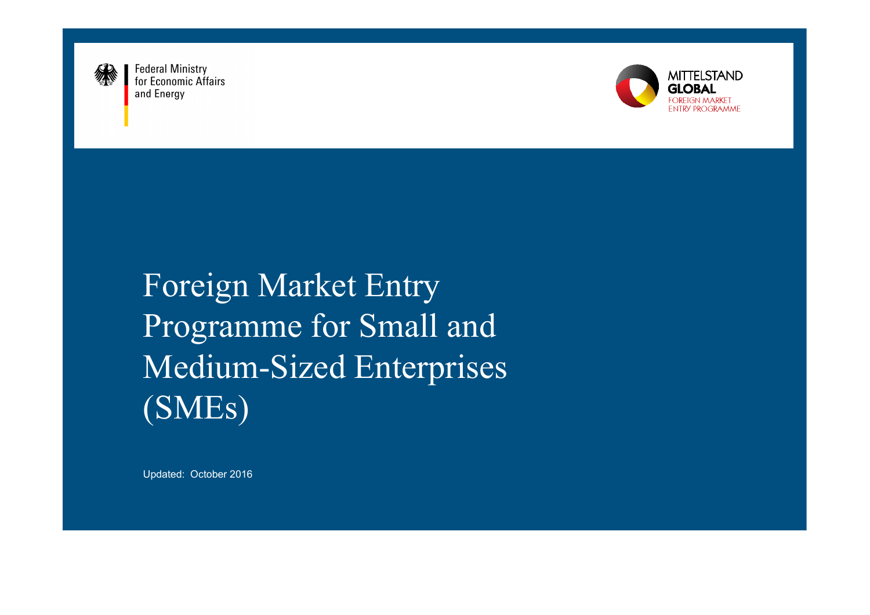

**Federal Ministry** for Economic Affairs and Energy



Foreign Market Entry Programme for Small and Medium-Sized Enterprises (SMEs)

Updated: October 2016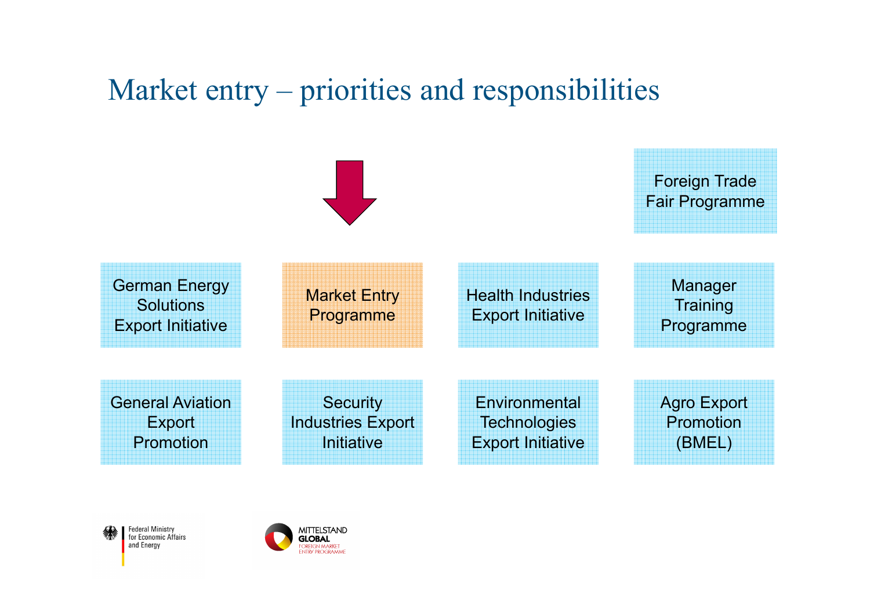# Market entry – priorities and responsibilities





Federal Ministry<br>for Economic Affairs and Energy

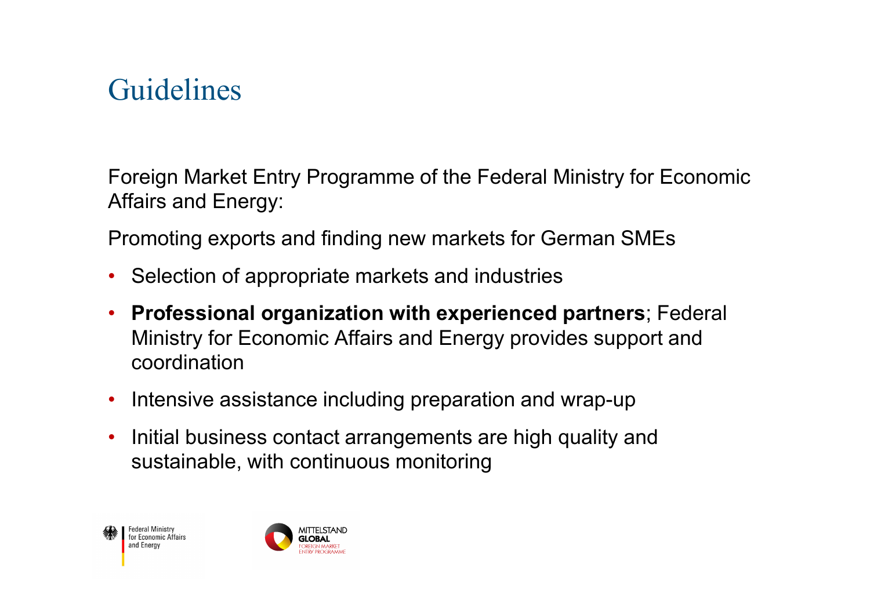# Guidelines

Foreign Market Entry Programme of the Federal Ministry for Economic Affairs and Energy:

Promoting exports and finding new markets for German SMEs

- Selection of appropriate markets and industries
- **Professional organization with experienced partners**; Federal Ministry for Economic Affairs and Energy provides support and coordination
- Intensive assistance including preparation and wrap-up
- $\bullet$  Initial business contact arrangements are high quality and sustainable, with continuous monitoring



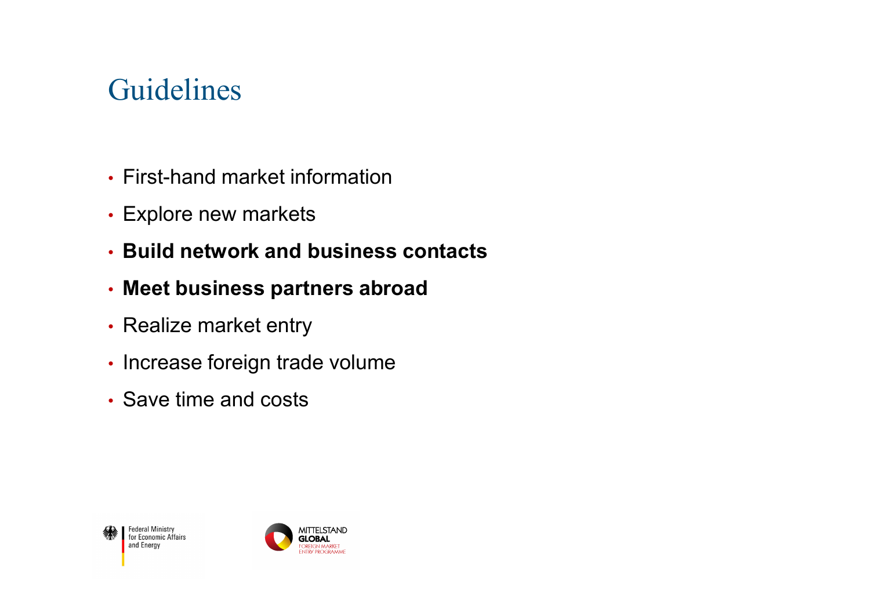# Guidelines

- First-hand market information
- Explore new markets
- **Build network and business contacts**
- **Meet business partners abroad**
- Realize market entry
- Increase foreign trade volume
- Save time and costs



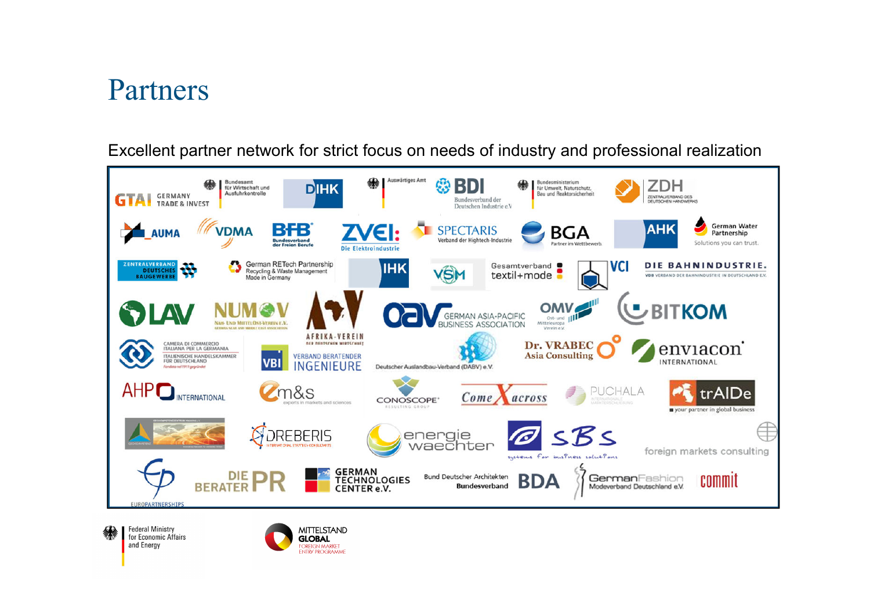# Partners

Excellent partner network for strict focus on needs of industry and professional realization



**Federal Ministry** for Economic Affairs and Energy

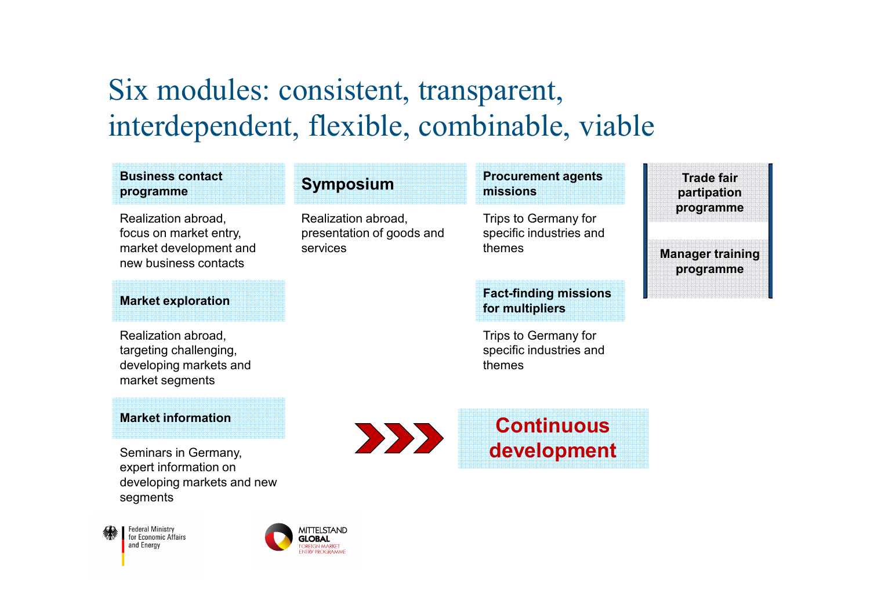# Six modules: consistent, transparent, interdependent, flexible, combinable, viable

### **Business contactprogramme**

Realization abroad,focus on market entry, market development and new business contacts

## **Market exploration**

Realization abroad, targeting challenging, developing markets and market segments

### **Market information**

Seminars in Germany, expert information on developing markets and new segments

**Federal Ministry Foddian Winnocry**<br>for Economic Affairs and Energy



## **Symposium**

Realization abroad, presentation of goods and services

## **Procurement agents missions**

Trips to Germany for specific industries and themes

## **Fact-finding missions for multipliers**

Trips to Germany for specific industries and themes

**Trade fair partipationprogramme**

 **Manager trainingprogramme**

**ContinuousEXPL development**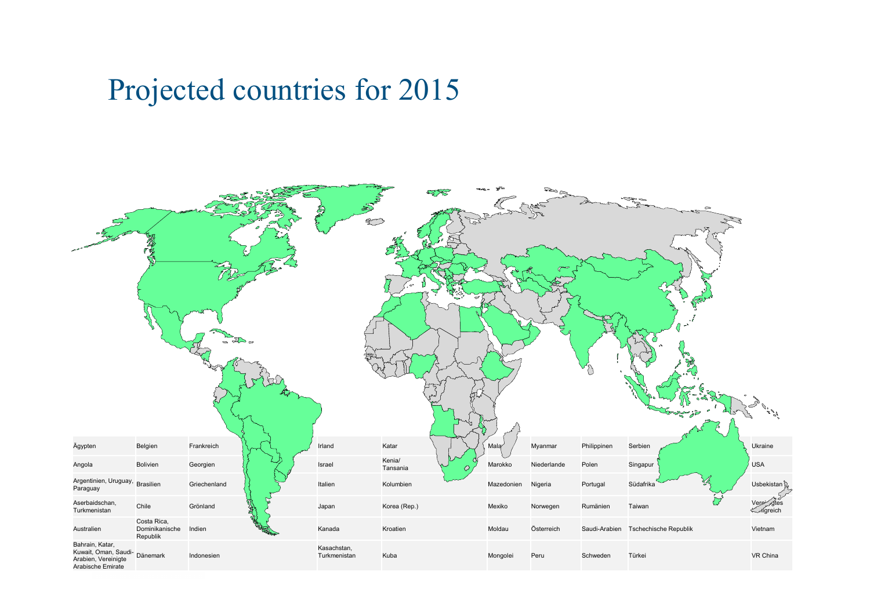# Projected countries for 2015

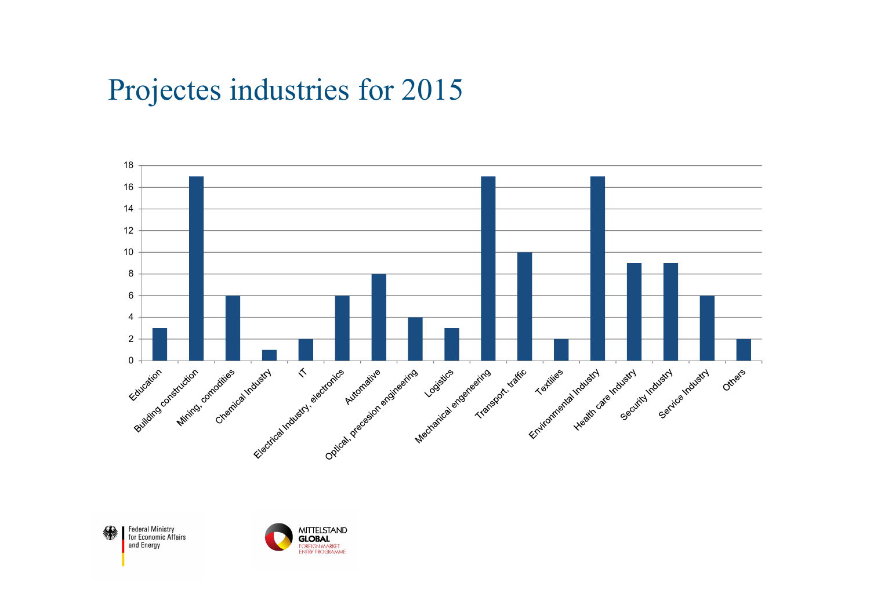# Projectes industries for 2015



Federal Ministry<br>for Economic Affairs<br>and Energy 缘

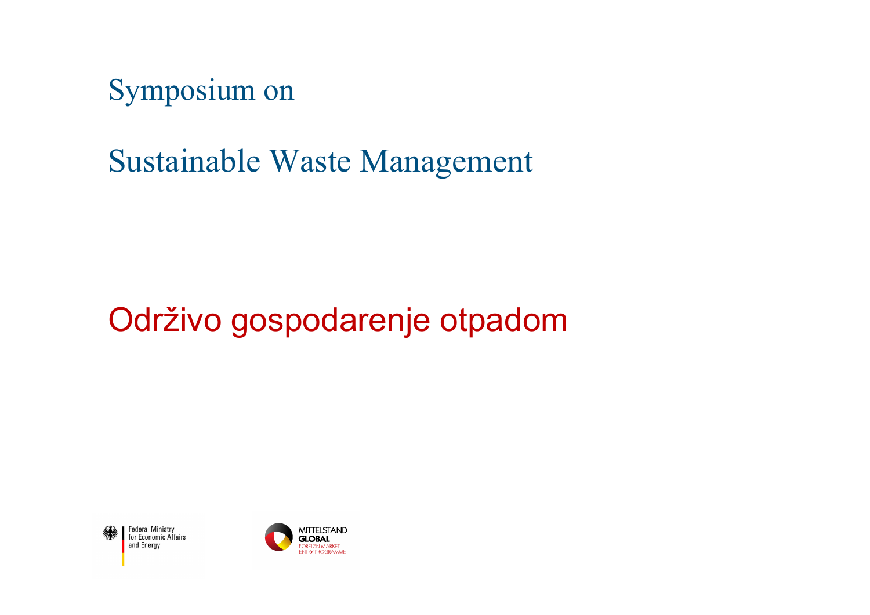Symposium on

Sustainable Waste Management

# Održivo gospodarenje otpadom



Federal Ministry<br>for Economic Affairs and Energy

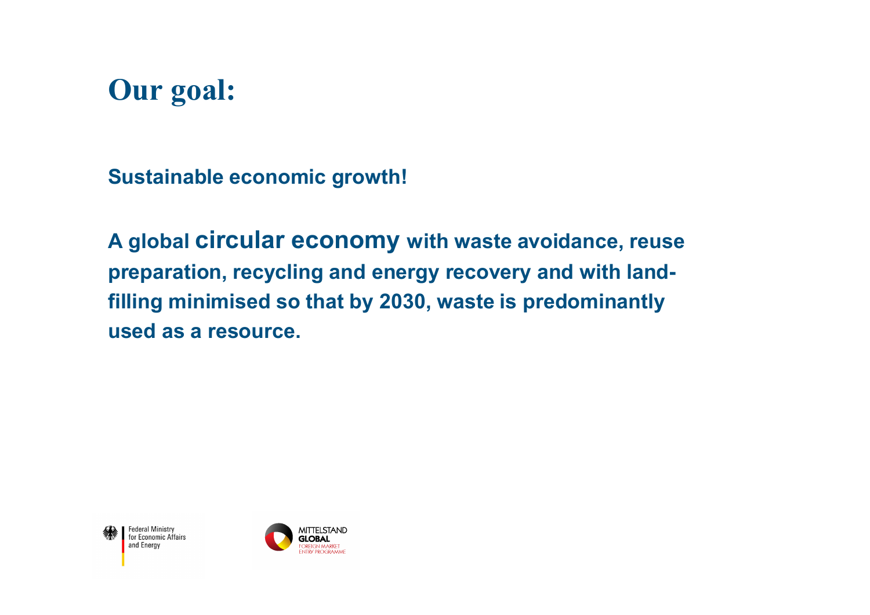# **Our goal:**

**Sustainable economic growth!**

**A global circular economy with waste avoidance, reuse preparation, recycling and energy recovery and with landfilling minimised so that by 2030, waste is predominantly used as a resource.**



Federal Ministry<br>for Economic Affairs and Energy